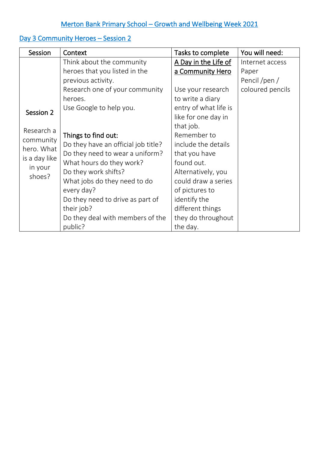# Merton Bank Primary School – Growth and Wellbeing Week 2021

## Day 3 Community Heroes - Session 2

| Session                                                                                  | Context                             | Tasks to complete     | You will need:   |
|------------------------------------------------------------------------------------------|-------------------------------------|-----------------------|------------------|
|                                                                                          | Think about the community           | A Day in the Life of  | Internet access  |
|                                                                                          | heroes that you listed in the       | a Community Hero      | Paper            |
| Session 2<br>Research a<br>community<br>hero. What<br>is a day like<br>in your<br>shoes? | previous activity.                  |                       | Pencil /pen /    |
|                                                                                          | Research one of your community      | Use your research     | coloured pencils |
|                                                                                          | heroes.                             | to write a diary      |                  |
|                                                                                          | Use Google to help you.             | entry of what life is |                  |
|                                                                                          |                                     | like for one day in   |                  |
|                                                                                          |                                     | that job.             |                  |
|                                                                                          | Things to find out:                 | Remember to           |                  |
|                                                                                          | Do they have an official job title? | include the details   |                  |
|                                                                                          | Do they need to wear a uniform?     | that you have         |                  |
|                                                                                          | What hours do they work?            | found out.            |                  |
|                                                                                          | Do they work shifts?                | Alternatively, you    |                  |
|                                                                                          | What jobs do they need to do        | could draw a series   |                  |
|                                                                                          | every day?                          | of pictures to        |                  |
|                                                                                          | Do they need to drive as part of    | identify the          |                  |
|                                                                                          | their job?                          | different things      |                  |
|                                                                                          | Do they deal with members of the    | they do throughout    |                  |
|                                                                                          | public?                             | the day.              |                  |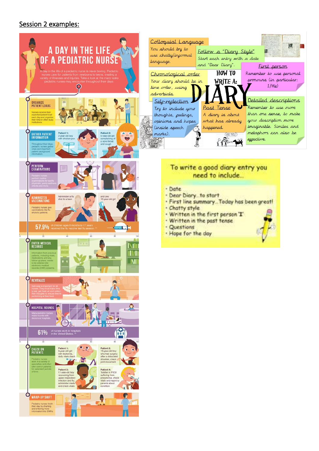### Session 2 examples: